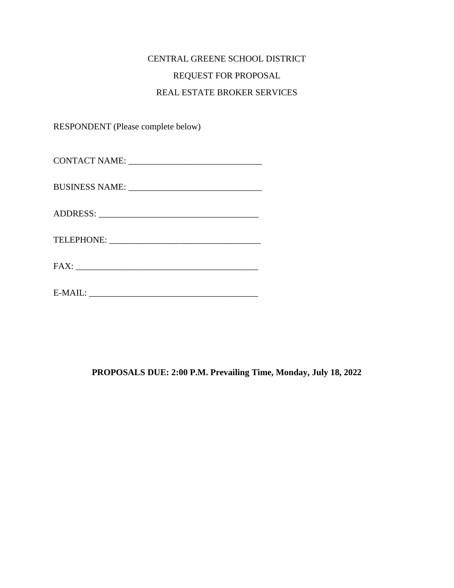# CENTRAL GREENE SCHOOL DISTRICT REQUEST FOR PROPOSAL REAL ESTATE BROKER SERVICES

RESPONDENT (Please complete below)

## **PROPOSALS DUE: 2:00 P.M. Prevailing Time, Monday, July 18, 2022**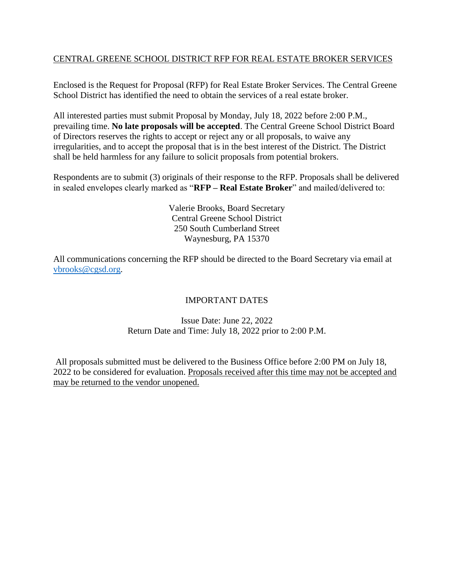## CENTRAL GREENE SCHOOL DISTRICT RFP FOR REAL ESTATE BROKER SERVICES

Enclosed is the Request for Proposal (RFP) for Real Estate Broker Services. The Central Greene School District has identified the need to obtain the services of a real estate broker.

All interested parties must submit Proposal by Monday, July 18, 2022 before 2:00 P.M., prevailing time. **No late proposals will be accepted**. The Central Greene School District Board of Directors reserves the rights to accept or reject any or all proposals, to waive any irregularities, and to accept the proposal that is in the best interest of the District. The District shall be held harmless for any failure to solicit proposals from potential brokers.

Respondents are to submit (3) originals of their response to the RFP. Proposals shall be delivered in sealed envelopes clearly marked as "**RFP – Real Estate Broker**" and mailed/delivered to:

> Valerie Brooks, Board Secretary Central Greene School District 250 South Cumberland Street Waynesburg, PA 15370

All communications concerning the RFP should be directed to the Board Secretary via email at [vbrooks@cgsd.org.](mailto:vbrooks@cgsd.org)

## IMPORTANT DATES

## Issue Date: June 22, 2022 Return Date and Time: July 18, 2022 prior to 2:00 P.M.

All proposals submitted must be delivered to the Business Office before 2:00 PM on July 18, 2022 to be considered for evaluation. Proposals received after this time may not be accepted and may be returned to the vendor unopened.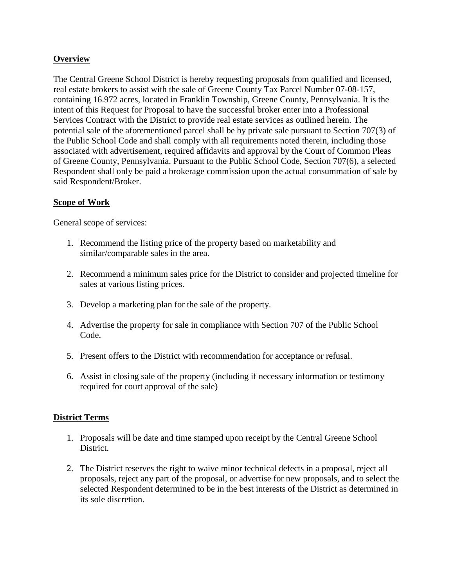## **Overview**

The Central Greene School District is hereby requesting proposals from qualified and licensed, real estate brokers to assist with the sale of Greene County Tax Parcel Number 07-08-157, containing 16.972 acres, located in Franklin Township, Greene County, Pennsylvania. It is the intent of this Request for Proposal to have the successful broker enter into a Professional Services Contract with the District to provide real estate services as outlined herein. The potential sale of the aforementioned parcel shall be by private sale pursuant to Section 707(3) of the Public School Code and shall comply with all requirements noted therein, including those associated with advertisement, required affidavits and approval by the Court of Common Pleas of Greene County, Pennsylvania. Pursuant to the Public School Code, Section 707(6), a selected Respondent shall only be paid a brokerage commission upon the actual consummation of sale by said Respondent/Broker.

## **Scope of Work**

General scope of services:

- 1. Recommend the listing price of the property based on marketability and similar/comparable sales in the area.
- 2. Recommend a minimum sales price for the District to consider and projected timeline for sales at various listing prices.
- 3. Develop a marketing plan for the sale of the property.
- 4. Advertise the property for sale in compliance with Section 707 of the Public School Code.
- 5. Present offers to the District with recommendation for acceptance or refusal.
- 6. Assist in closing sale of the property (including if necessary information or testimony required for court approval of the sale)

## **District Terms**

- 1. Proposals will be date and time stamped upon receipt by the Central Greene School District.
- 2. The District reserves the right to waive minor technical defects in a proposal, reject all proposals, reject any part of the proposal, or advertise for new proposals, and to select the selected Respondent determined to be in the best interests of the District as determined in its sole discretion.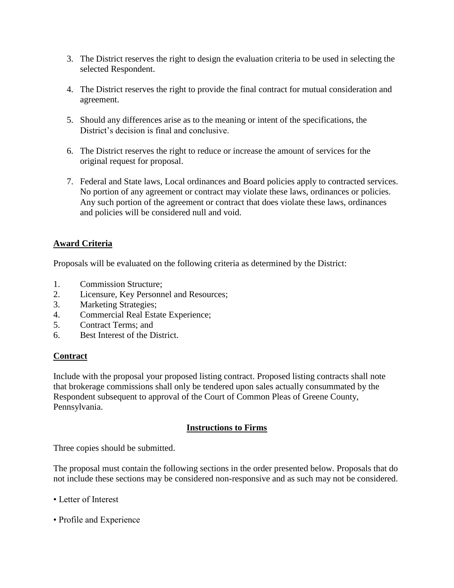- 3. The District reserves the right to design the evaluation criteria to be used in selecting the selected Respondent.
- 4. The District reserves the right to provide the final contract for mutual consideration and agreement.
- 5. Should any differences arise as to the meaning or intent of the specifications, the District's decision is final and conclusive.
- 6. The District reserves the right to reduce or increase the amount of services for the original request for proposal.
- 7. Federal and State laws, Local ordinances and Board policies apply to contracted services. No portion of any agreement or contract may violate these laws, ordinances or policies. Any such portion of the agreement or contract that does violate these laws, ordinances and policies will be considered null and void.

## **Award Criteria**

Proposals will be evaluated on the following criteria as determined by the District:

- 1. Commission Structure;
- 2. Licensure, Key Personnel and Resources;
- 3. Marketing Strategies;
- 4. Commercial Real Estate Experience;
- 5. Contract Terms; and
- 6. Best Interest of the District.

#### **Contract**

Include with the proposal your proposed listing contract. Proposed listing contracts shall note that brokerage commissions shall only be tendered upon sales actually consummated by the Respondent subsequent to approval of the Court of Common Pleas of Greene County, Pennsylvania.

#### **Instructions to Firms**

Three copies should be submitted.

The proposal must contain the following sections in the order presented below. Proposals that do not include these sections may be considered non-responsive and as such may not be considered.

- Letter of Interest
- Profile and Experience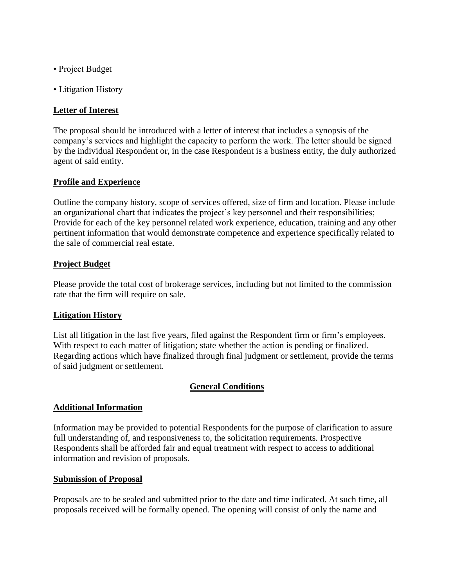- Project Budget
- Litigation History

#### **Letter of Interest**

The proposal should be introduced with a letter of interest that includes a synopsis of the company's services and highlight the capacity to perform the work. The letter should be signed by the individual Respondent or, in the case Respondent is a business entity, the duly authorized agent of said entity.

#### **Profile and Experience**

Outline the company history, scope of services offered, size of firm and location. Please include an organizational chart that indicates the project's key personnel and their responsibilities; Provide for each of the key personnel related work experience, education, training and any other pertinent information that would demonstrate competence and experience specifically related to the sale of commercial real estate.

#### **Project Budget**

Please provide the total cost of brokerage services, including but not limited to the commission rate that the firm will require on sale.

#### **Litigation History**

List all litigation in the last five years, filed against the Respondent firm or firm's employees. With respect to each matter of litigation; state whether the action is pending or finalized. Regarding actions which have finalized through final judgment or settlement, provide the terms of said judgment or settlement.

#### **General Conditions**

#### **Additional Information**

Information may be provided to potential Respondents for the purpose of clarification to assure full understanding of, and responsiveness to, the solicitation requirements. Prospective Respondents shall be afforded fair and equal treatment with respect to access to additional information and revision of proposals.

#### **Submission of Proposal**

Proposals are to be sealed and submitted prior to the date and time indicated. At such time, all proposals received will be formally opened. The opening will consist of only the name and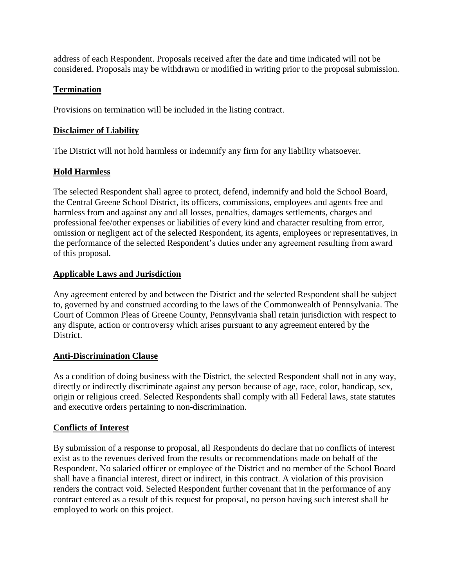address of each Respondent. Proposals received after the date and time indicated will not be considered. Proposals may be withdrawn or modified in writing prior to the proposal submission.

## **Termination**

Provisions on termination will be included in the listing contract.

## **Disclaimer of Liability**

The District will not hold harmless or indemnify any firm for any liability whatsoever.

## **Hold Harmless**

The selected Respondent shall agree to protect, defend, indemnify and hold the School Board, the Central Greene School District, its officers, commissions, employees and agents free and harmless from and against any and all losses, penalties, damages settlements, charges and professional fee/other expenses or liabilities of every kind and character resulting from error, omission or negligent act of the selected Respondent, its agents, employees or representatives, in the performance of the selected Respondent's duties under any agreement resulting from award of this proposal.

## **Applicable Laws and Jurisdiction**

Any agreement entered by and between the District and the selected Respondent shall be subject to, governed by and construed according to the laws of the Commonwealth of Pennsylvania. The Court of Common Pleas of Greene County, Pennsylvania shall retain jurisdiction with respect to any dispute, action or controversy which arises pursuant to any agreement entered by the District.

## **Anti-Discrimination Clause**

As a condition of doing business with the District, the selected Respondent shall not in any way, directly or indirectly discriminate against any person because of age, race, color, handicap, sex, origin or religious creed. Selected Respondents shall comply with all Federal laws, state statutes and executive orders pertaining to non-discrimination.

## **Conflicts of Interest**

By submission of a response to proposal, all Respondents do declare that no conflicts of interest exist as to the revenues derived from the results or recommendations made on behalf of the Respondent. No salaried officer or employee of the District and no member of the School Board shall have a financial interest, direct or indirect, in this contract. A violation of this provision renders the contract void. Selected Respondent further covenant that in the performance of any contract entered as a result of this request for proposal, no person having such interest shall be employed to work on this project.